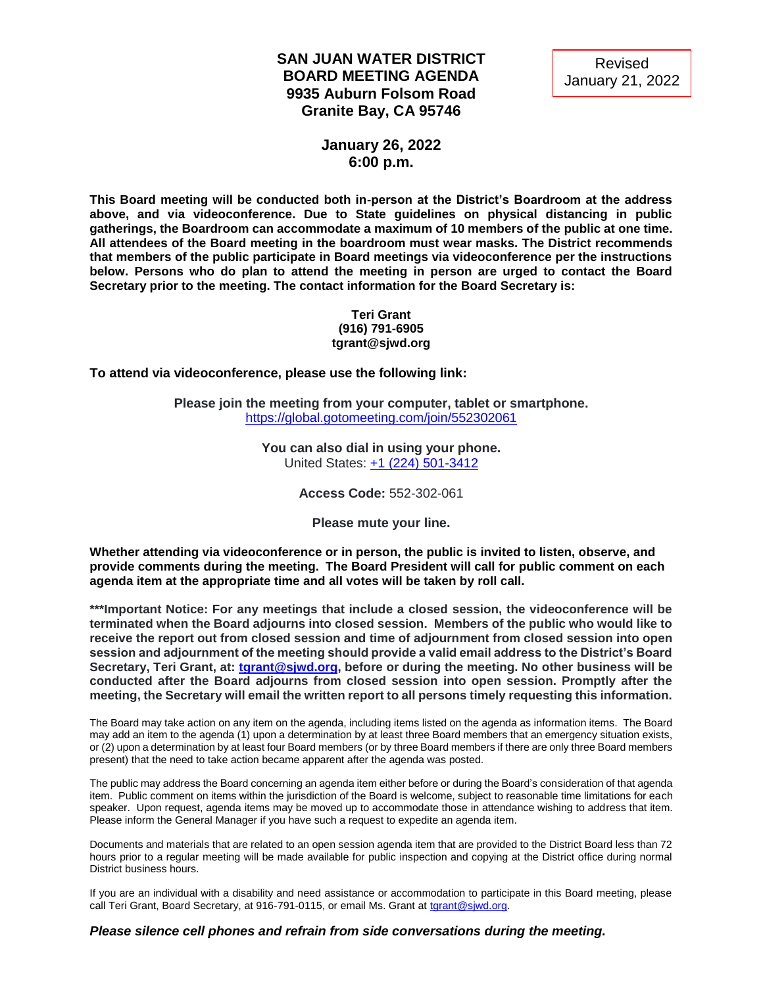## **SAN JUAN WATER DISTRICT BOARD MEETING AGENDA 9935 Auburn Folsom Road Granite Bay, CA 95746**



## **January 26, 2022 6:00 p.m.**

**This Board meeting will be conducted both in-person at the District's Boardroom at the address above, and via videoconference. Due to State guidelines on physical distancing in public gatherings, the Boardroom can accommodate a maximum of 10 members of the public at one time. All attendees of the Board meeting in the boardroom must wear masks. The District recommends that members of the public participate in Board meetings via videoconference per the instructions below. Persons who do plan to attend the meeting in person are urged to contact the Board Secretary prior to the meeting. The contact information for the Board Secretary is:**

#### **Teri Grant (916) 791-6905 tgrant@sjwd.org**

**To attend via videoconference, please use the following link:**

**Please join the meeting from your computer, tablet or smartphone.** <https://global.gotomeeting.com/join/552302061>

> **You can also dial in using your phone.** United States: [+1 \(224\) 501-3412](tel:+12245013412,,552302061)

> > **Access Code:** 552-302-061

**Please mute your line.**

**Whether attending via videoconference or in person, the public is invited to listen, observe, and provide comments during the meeting. The Board President will call for public comment on each agenda item at the appropriate time and all votes will be taken by roll call.** 

**\*\*\*Important Notice: For any meetings that include a closed session, the videoconference will be terminated when the Board adjourns into closed session. Members of the public who would like to receive the report out from closed session and time of adjournment from closed session into open session and adjournment of the meeting should provide a valid email address to the District's Board Secretary, Teri Grant, at: [tgrant@sjwd.org,](mailto:tgrant@sjwd.org) before or during the meeting. No other business will be conducted after the Board adjourns from closed session into open session. Promptly after the meeting, the Secretary will email the written report to all persons timely requesting this information.**

The Board may take action on any item on the agenda, including items listed on the agenda as information items. The Board may add an item to the agenda (1) upon a determination by at least three Board members that an emergency situation exists, or (2) upon a determination by at least four Board members (or by three Board members if there are only three Board members present) that the need to take action became apparent after the agenda was posted.

The public may address the Board concerning an agenda item either before or during the Board's consideration of that agenda item. Public comment on items within the jurisdiction of the Board is welcome, subject to reasonable time limitations for each speaker. Upon request, agenda items may be moved up to accommodate those in attendance wishing to address that item. Please inform the General Manager if you have such a request to expedite an agenda item.

Documents and materials that are related to an open session agenda item that are provided to the District Board less than 72 hours prior to a regular meeting will be made available for public inspection and copying at the District office during normal District business hours.

If you are an individual with a disability and need assistance or accommodation to participate in this Board meeting, please call Teri Grant, Board Secretary, at 916-791-0115, or email Ms. Grant at [tgrant@sjwd.org.](mailto:tgrant@sjwd.org)

#### *Please silence cell phones and refrain from side conversations during the meeting.*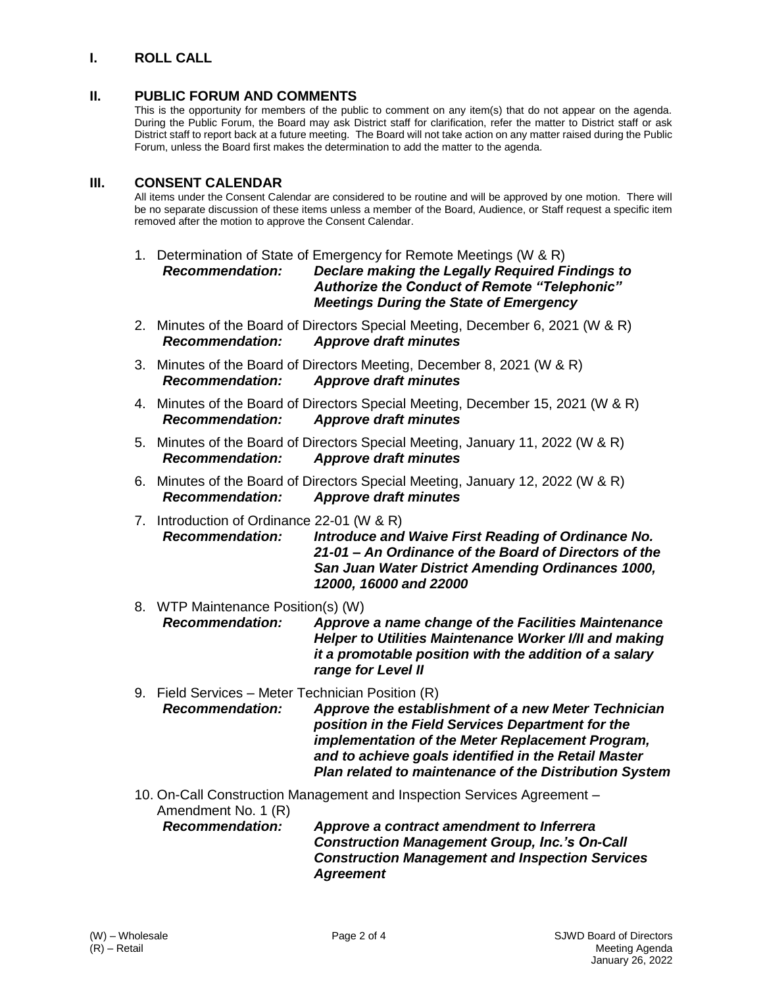## **I. ROLL CALL**

### **II. PUBLIC FORUM AND COMMENTS**

This is the opportunity for members of the public to comment on any item(s) that do not appear on the agenda. During the Public Forum, the Board may ask District staff for clarification, refer the matter to District staff or ask District staff to report back at a future meeting. The Board will not take action on any matter raised during the Public Forum, unless the Board first makes the determination to add the matter to the agenda.

#### **III. CONSENT CALENDAR**

All items under the Consent Calendar are considered to be routine and will be approved by one motion. There will be no separate discussion of these items unless a member of the Board, Audience, or Staff request a specific item removed after the motion to approve the Consent Calendar.

- 1. Determination of State of Emergency for Remote Meetings (W & R) *Recommendation: Declare making the Legally Required Findings to Authorize the Conduct of Remote "Telephonic" Meetings During the State of Emergency*
- 2. Minutes of the Board of Directors Special Meeting, December 6, 2021 (W & R) *Recommendation: Approve draft minutes*
- 3. Minutes of the Board of Directors Meeting, December 8, 2021 (W & R) *Recommendation: Approve draft minutes*
- 4. Minutes of the Board of Directors Special Meeting, December 15, 2021 (W & R) *Recommendation: Approve draft minutes*
- 5. Minutes of the Board of Directors Special Meeting, January 11, 2022 (W & R) *Recommendation: Approve draft minutes*
- 6. Minutes of the Board of Directors Special Meeting, January 12, 2022 (W & R) *Recommendation: Approve draft minutes*
- 7. Introduction of Ordinance 22-01 (W & R) *Recommendation: Introduce and Waive First Reading of Ordinance No. 21-01 – An Ordinance of the Board of Directors of the San Juan Water District Amending Ordinances 1000, 12000, 16000 and 22000*
- 8. WTP Maintenance Position(s) (W) *Recommendation: Approve a name change of the Facilities Maintenance Helper to Utilities Maintenance Worker I/II and making it a promotable position with the addition of a salary range for Level II*
- 9. Field Services Meter Technician Position (R) *Recommendation: Approve the establishment of a new Meter Technician position in the Field Services Department for the implementation of the Meter Replacement Program, and to achieve goals identified in the Retail Master Plan related to maintenance of the Distribution System*
- 10. On-Call Construction Management and Inspection Services Agreement Amendment No. 1 (R) *Recommendation: Approve a contract amendment to Inferrera*

*Construction Management Group, Inc.'s On-Call Construction Management and Inspection Services Agreement*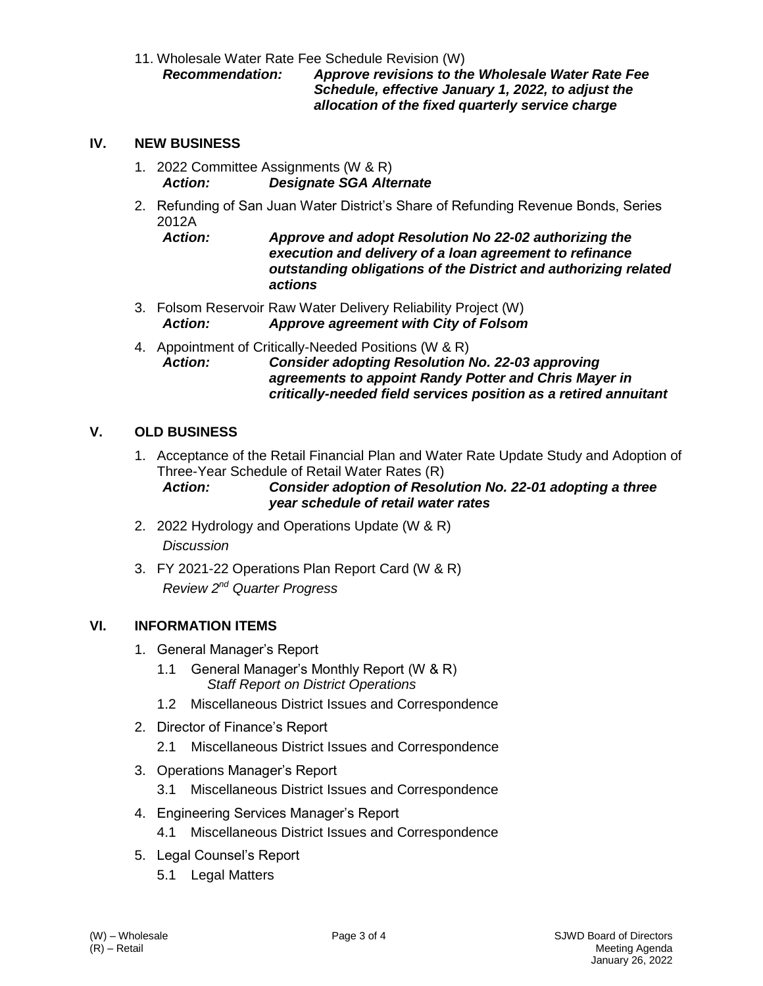11. Wholesale Water Rate Fee Schedule Revision (W)

*Recommendation: Approve revisions to the Wholesale Water Rate Fee Schedule, effective January 1, 2022, to adjust the allocation of the fixed quarterly service charge*

## **IV. NEW BUSINESS**

- 1. 2022 Committee Assignments (W & R) *Action: Designate SGA Alternate*
- 2. Refunding of San Juan Water District's Share of Refunding Revenue Bonds, Series 2012A
	- *Action: Approve and adopt Resolution No 22-02 authorizing the execution and delivery of a loan agreement to refinance outstanding obligations of the District and authorizing related actions*
- 3. Folsom Reservoir Raw Water Delivery Reliability Project (W) *Action: Approve agreement with City of Folsom*
- 4. Appointment of Critically-Needed Positions (W & R) *Action: Consider adopting Resolution No. 22-03 approving agreements to appoint Randy Potter and Chris Mayer in critically-needed field services position as a retired annuitant*

## **V. OLD BUSINESS**

1. Acceptance of the Retail Financial Plan and Water Rate Update Study and Adoption of Three-Year Schedule of Retail Water Rates (R)

*Action: Consider adoption of Resolution No. 22-01 adopting a three year schedule of retail water rates*

- 2. 2022 Hydrology and Operations Update (W & R) *Discussion*
- 3. FY 2021-22 Operations Plan Report Card (W & R) *Review 2 nd Quarter Progress*

### **VI. INFORMATION ITEMS**

- 1. General Manager's Report
	- 1.1 General Manager's Monthly Report (W & R) *Staff Report on District Operations*
	- 1.2 Miscellaneous District Issues and Correspondence
- 2. Director of Finance's Report
	- 2.1 Miscellaneous District Issues and Correspondence
- 3. Operations Manager's Report
	- 3.1 Miscellaneous District Issues and Correspondence
- 4. Engineering Services Manager's Report
	- 4.1 Miscellaneous District Issues and Correspondence
- 5. Legal Counsel's Report
	- 5.1 Legal Matters